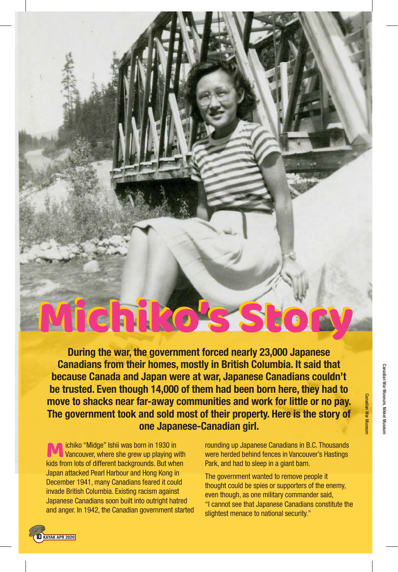During the war, the government forced nearly 23,000 Japanese Canadians from their homes, mostly in British Columbia. It said that because Canada and Japan were at war, Japanese Canadians couldn't be trusted. Even though 14,000 of them had been born here, they had to move to shacks near far-away communities and work for little or no pay. The government took and sold most of their property. Here is the story of one Japanese-Canadian girl.

Michiko's St

**M** chiko "Midge" Ishii was born in 1930 in<br>Vancouver, where she grew up playing w<br>kids from lots of different backgrounds. But why Vancouver, where she grew up playing with kids from lots of different backgrounds. But when Japan attacked Pearl Harbour and Hong Kong in December 1941, many Canadians feared it could invade British Columbia. Existing racism against Japanese Canadians soon built into outright hatred and anger. In 1942, the Canadian government started rounding up Japanese Canadians in B.C. Thousands were herded behind fences in Vancouver's Hastings Park, and had to sleep in a giant barn.

The government wanted to remove people it thought could be spies or supporters of the enemy, even though, as one military commander said, "I cannot see that Japanese Canadians constitute the slightest menace to national security."